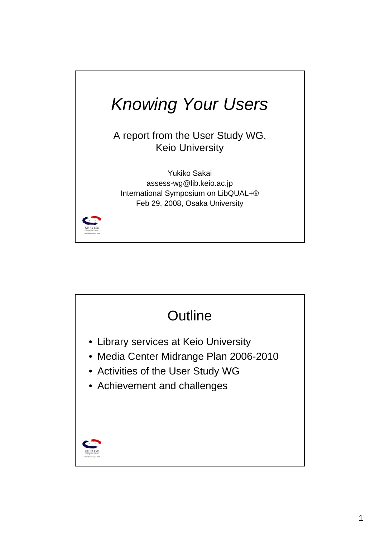

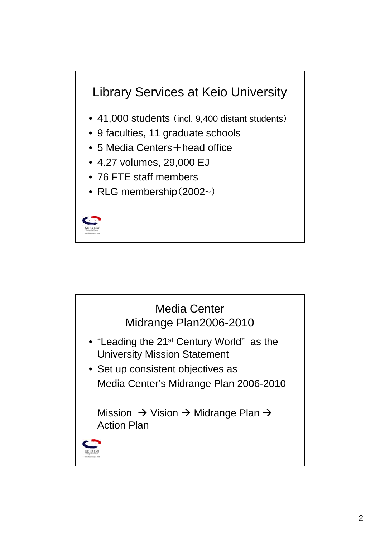

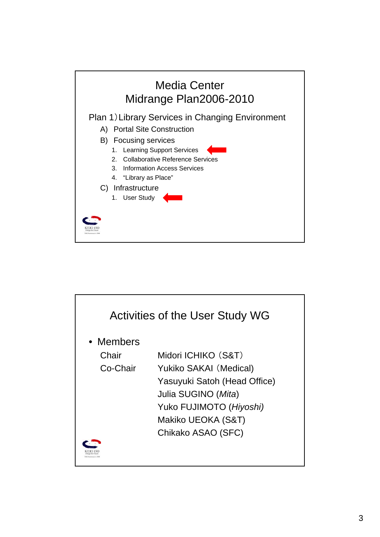

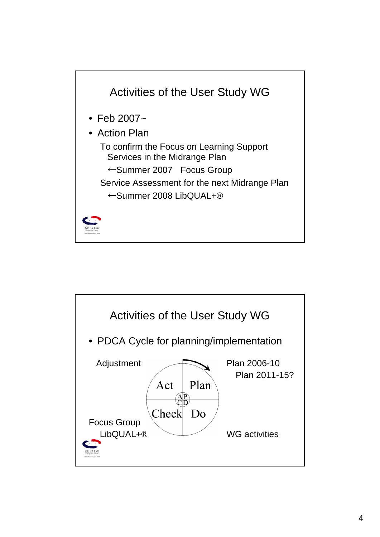

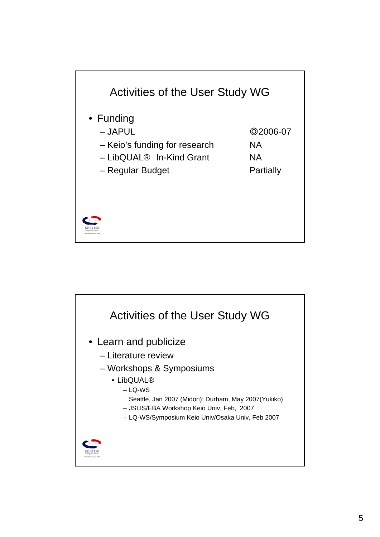

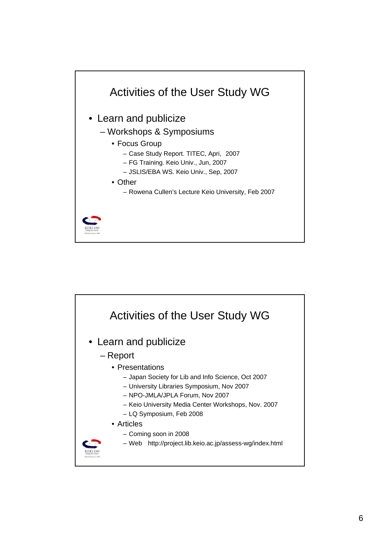

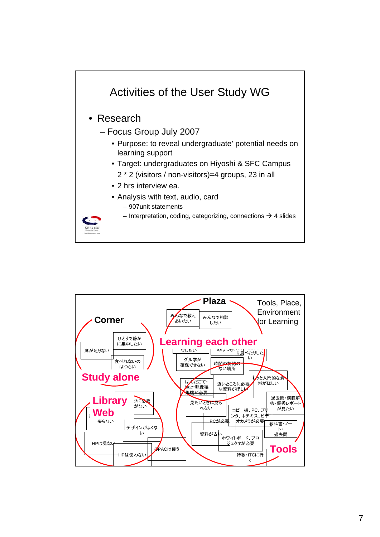![](_page_6_Figure_0.jpeg)

![](_page_6_Figure_1.jpeg)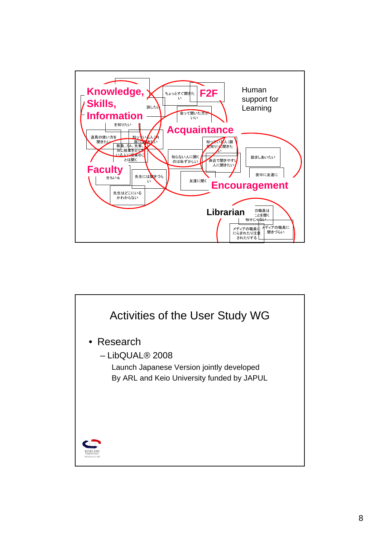![](_page_7_Figure_0.jpeg)

![](_page_7_Figure_1.jpeg)